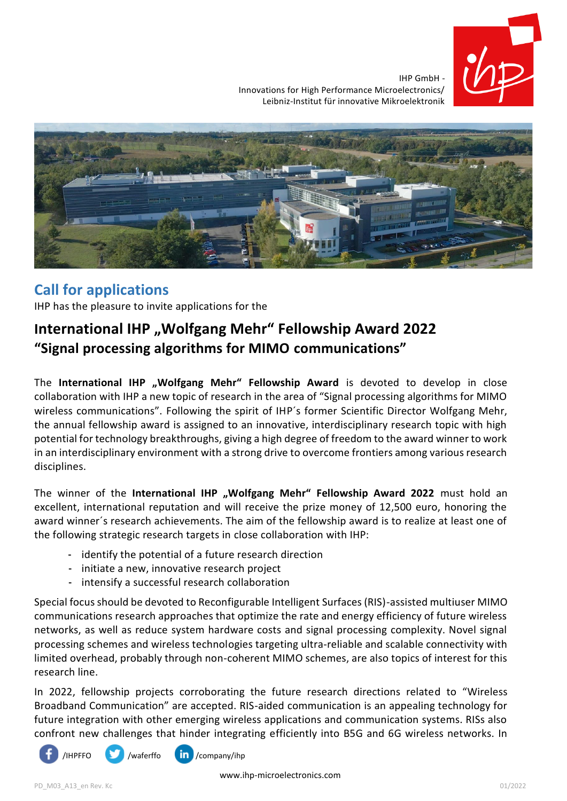

IHP GmbH - Innovations for High Performance Microelectronics/ Leibniz-Institut für innovative Mikroelektronik



## **Call for applications**

IHP has the pleasure to invite applications for the

## International IHP "Wolfgang Mehr" Fellowship Award 2022 **"Signal processing algorithms for MIMO communications"**

The International IHP "Wolfgang Mehr" Fellowship Award is devoted to develop in close collaboration with IHP a new topic of research in the area of "Signal processing algorithms for MIMO wireless communications". Following the spirit of IHP's former Scientific Director Wolfgang Mehr, the annual fellowship award is assigned to an innovative, interdisciplinary research topic with high potential for technology breakthroughs, giving a high degree of freedom to the award winner to work in an interdisciplinary environment with a strong drive to overcome frontiers among various research disciplines.

The winner of the International IHP "Wolfgang Mehr" Fellowship Award 2022 must hold an excellent, international reputation and will receive the prize money of 12,500 euro, honoring the award winner´s research achievements. The aim of the fellowship award is to realize at least one of the following strategic research targets in close collaboration with IHP:

- identify the potential of a future research direction
- initiate a new, innovative research project
- intensify a successful research collaboration

Special focus should be devoted to Reconfigurable Intelligent Surfaces (RIS)-assisted multiuser MIMO communications research approaches that optimize the rate and energy efficiency of future wireless networks, as well as reduce system hardware costs and signal processing complexity. Novel signal processing schemes and wireless technologies targeting ultra-reliable and scalable connectivity with limited overhead, probably through non-coherent MIMO schemes, are also topics of interest for this research line.

In 2022, fellowship projects corroborating the future research directions related to "Wireless Broadband Communication" are accepted. RIS-aided communication is an appealing technology for future integration with other emerging wireless applications and communication systems. RISs also confront new challenges that hinder integrating efficiently into B5G and 6G wireless networks. In